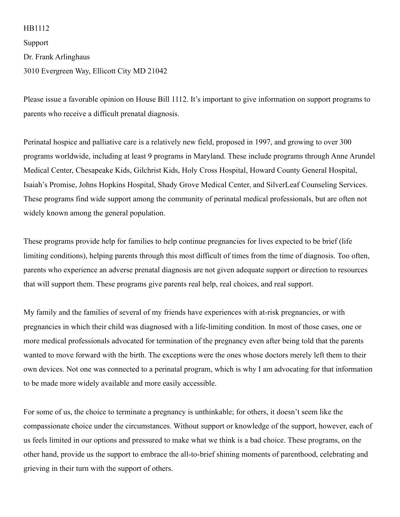## HB1112

Support

Dr. Frank Arlinghaus

3010 Evergreen Way, Ellicott City MD 21042

Please issue a favorable opinion on House Bill 1112. It's important to give information on support programs to parents who receive a difficult prenatal diagnosis.

Perinatal hospice and palliative care is a relatively new field, proposed in 1997, and growing to over 300 programs worldwide, including at least 9 programs in Maryland. These include programs through Anne Arundel Medical Center, Chesapeake Kids, Gilchrist Kids, Holy Cross Hospital, Howard County General Hospital, Isaiah's Promise, Johns Hopkins Hospital, Shady Grove Medical Center, and SilverLeaf Counseling Services. These programs find wide support among the community of perinatal medical professionals, but are often not widely known among the general population.

These programs provide help for families to help continue pregnancies for lives expected to be brief (life limiting conditions), helping parents through this most difficult of times from the time of diagnosis. Too often, parents who experience an adverse prenatal diagnosis are not given adequate support or direction to resources that will support them. These programs give parents real help, real choices, and real support.

My family and the families of several of my friends have experiences with at-risk pregnancies, or with pregnancies in which their child was diagnosed with a life-limiting condition. In most of those cases, one or more medical professionals advocated for termination of the pregnancy even after being told that the parents wanted to move forward with the birth. The exceptions were the ones whose doctors merely left them to their own devices. Not one was connected to a perinatal program, which is why I am advocating for that information to be made more widely available and more easily accessible.

For some of us, the choice to terminate a pregnancy is unthinkable; for others, it doesn't seem like the compassionate choice under the circumstances. Without support or knowledge of the support, however, each of us feels limited in our options and pressured to make what we think is a bad choice. These programs, on the other hand, provide us the support to embrace the all-to-brief shining moments of parenthood, celebrating and grieving in their turn with the support of others.